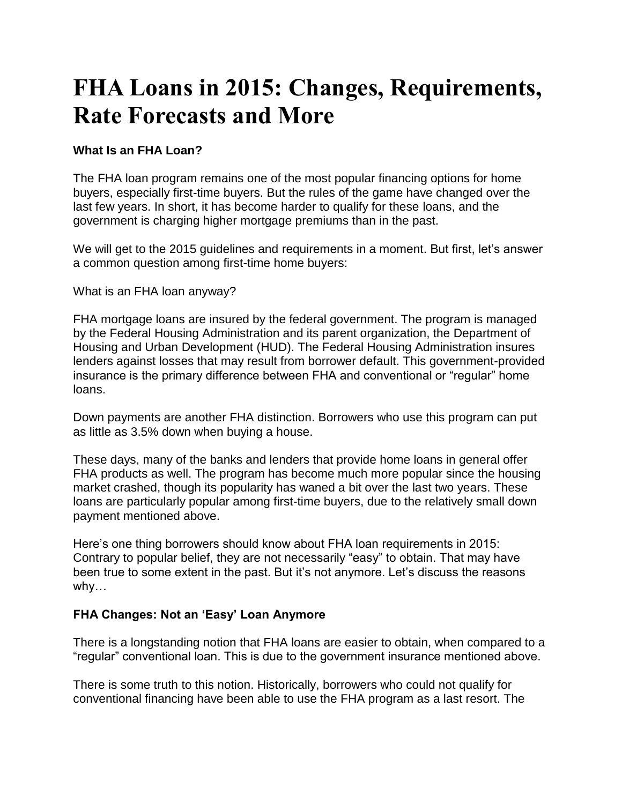# **FHA Loans in 2015: Changes, Requirements, Rate Forecasts and More**

# **What Is an FHA Loan?**

The FHA loan program remains one of the most popular financing options for home buyers, especially first-time buyers. But the rules of the game have changed over the last few years. In short, it has become harder to qualify for these loans, and the government is charging higher mortgage premiums than in the past.

We will get to the 2015 guidelines and requirements in a moment. But first, let's answer a common question among first-time home buyers:

What is an FHA loan anyway?

FHA mortgage loans are insured by the federal government. The program is managed by the Federal Housing Administration and its parent organization, the Department of Housing and Urban Development (HUD). The Federal Housing Administration insures lenders against losses that may result from borrower default. This government-provided insurance is the primary difference between FHA and conventional or "regular" home loans.

Down payments are another FHA distinction. Borrowers who use this program can put as little as 3.5% down when buying a house.

These days, many of the banks and lenders that provide home loans in general offer FHA products as well. The program has become much more popular since the housing market crashed, though its popularity has waned a bit over the last two years. These loans are particularly popular among first-time buyers, due to the relatively small down payment mentioned above.

Here's one thing borrowers should know about FHA loan requirements in 2015: Contrary to popular belief, they are not necessarily "easy" to obtain. That may have been true to some extent in the past. But it's not anymore. Let's discuss the reasons why…

## **FHA Changes: Not an 'Easy' Loan Anymore**

There is a longstanding notion that FHA loans are easier to obtain, when compared to a "regular" conventional loan. This is due to the government insurance mentioned above.

There is some truth to this notion. Historically, borrowers who could not qualify for conventional financing have been able to use the FHA program as a last resort. The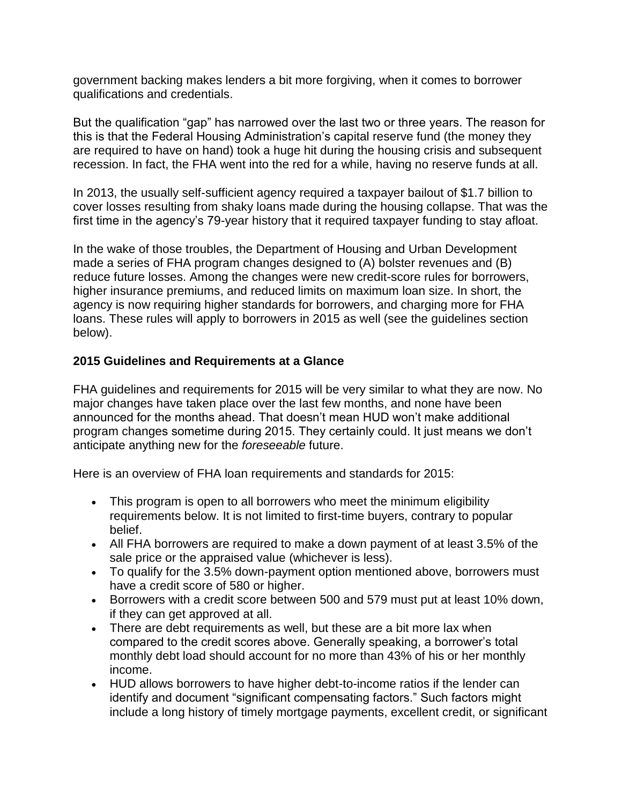government backing makes lenders a bit more forgiving, when it comes to borrower qualifications and credentials.

But the qualification "gap" has narrowed over the last two or three years. The reason for this is that the Federal Housing Administration's capital reserve fund (the money they are required to have on hand) took a huge hit during the housing crisis and subsequent recession. In fact, the FHA went into the red for a while, having no reserve funds at all.

In 2013, the usually self-sufficient agency required a taxpayer bailout of \$1.7 billion to cover losses resulting from shaky loans made during the housing collapse. That was the first time in the agency's 79-year history that it required taxpayer funding to stay afloat.

In the wake of those troubles, the Department of Housing and Urban Development made a series of FHA program changes designed to (A) bolster revenues and (B) reduce future losses. Among the changes were new credit-score rules for borrowers, higher insurance premiums, and reduced limits on maximum loan size. In short, the agency is now requiring higher standards for borrowers, and charging more for FHA loans. These rules will apply to borrowers in 2015 as well (see the guidelines section below).

#### **2015 Guidelines and Requirements at a Glance**

FHA guidelines and requirements for 2015 will be very similar to what they are now. No major changes have taken place over the last few months, and none have been announced for the months ahead. That doesn't mean HUD won't make additional program changes sometime during 2015. They certainly could. It just means we don't anticipate anything new for the *foreseeable* future.

Here is an overview of FHA loan requirements and standards for 2015:

- This program is open to all borrowers who meet the minimum eligibility requirements below. It is not limited to first-time buyers, contrary to popular belief.
- All FHA borrowers are required to make a down payment of at least 3.5% of the sale price or the appraised value (whichever is less).
- To qualify for the 3.5% down-payment option mentioned above, borrowers must have a credit score of 580 or higher.
- Borrowers with a credit score between 500 and 579 must put at least 10% down, if they can get approved at all.
- There are debt requirements as well, but these are a bit more lax when compared to the credit scores above. Generally speaking, a borrower's total monthly debt load should account for no more than 43% of his or her monthly income.
- HUD allows borrowers to have higher debt-to-income ratios if the lender can identify and document "significant compensating factors." Such factors might include a long history of timely mortgage payments, excellent credit, or significant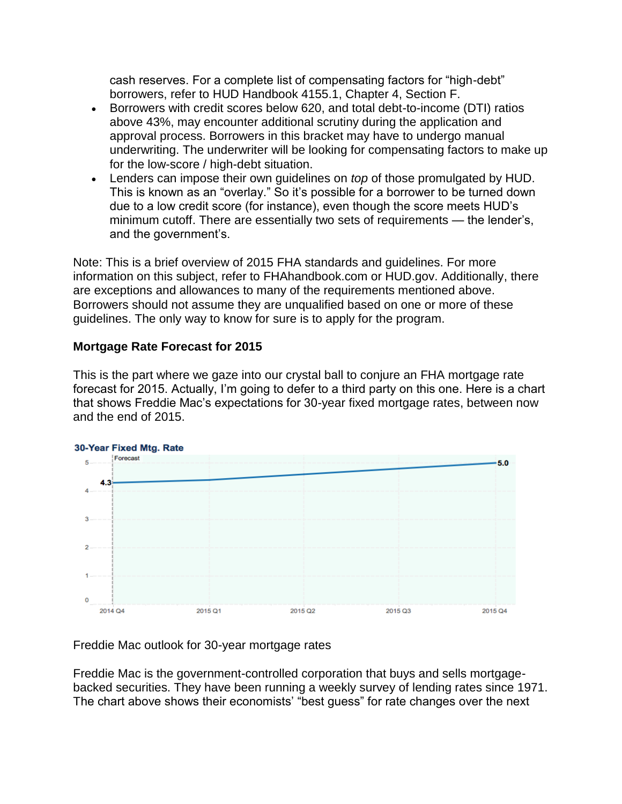cash reserves. For a complete list of compensating factors for "high-debt" borrowers, refer to HUD Handbook 4155.1, Chapter 4, Section F.

- Borrowers with credit scores below 620, and total debt-to-income (DTI) ratios above 43%, may encounter additional scrutiny during the application and approval process. Borrowers in this bracket may have to undergo manual underwriting. The underwriter will be looking for compensating factors to make up for the low-score / high-debt situation.
- Lenders can impose their own guidelines on *top* of those promulgated by HUD. This is known as an "overlay." So it's possible for a borrower to be turned down due to a low credit score (for instance), even though the score meets HUD's minimum cutoff. There are essentially two sets of requirements — the lender's, and the government's.

Note: This is a brief overview of 2015 FHA standards and guidelines. For more information on this subject, refer to FHAhandbook.com or HUD.gov. Additionally, there are exceptions and allowances to many of the requirements mentioned above. Borrowers should not assume they are unqualified based on one or more of these guidelines. The only way to know for sure is to apply for the program.

# **Mortgage Rate Forecast for 2015**

This is the part where we gaze into our crystal ball to conjure an FHA mortgage rate forecast for 2015. Actually, I'm going to defer to a third party on this one. Here is a chart that shows Freddie Mac's expectations for 30-year fixed mortgage rates, between now and the end of 2015.



## Freddie Mac outlook for 30-year mortgage rates

Freddie Mac is the government-controlled corporation that buys and sells mortgagebacked securities. They have been running a weekly survey of lending rates since 1971. The chart above shows their economists' "best guess" for rate changes over the next